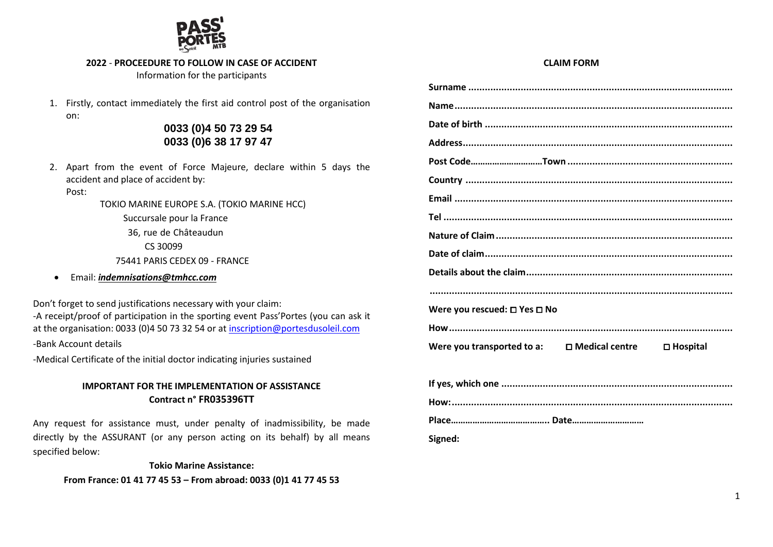

#### **2022** - **PROCEEDURE TO FOLLOW IN CASE OF ACCIDENT**

Information for the participants

1. Firstly, contact immediately the first aid control post of the organisation on:

# **0033 (0)4 50 73 29 54 0033 (0)6 38 17 97 47**

- 2. Apart from the event of Force Majeure, declare within 5 days the accident and place of accident by:
	- Post:

TOKIO MARINE EUROPE S.A. (TOKIO MARINE HCC)

Succursale pour la France 36, rue de Châteaudun CS 30099 75441 PARIS CEDEX 09 - FRANCE

• Email: *[indemnisations@tmhcc.com](mailto:indemnisations@tmhcc.com)*

Don't forget to send justifications necessary with your claim:

-A receipt/proof of participation in the sporting event Pass'Portes (you can ask it at the organisation: 0033 (0)4 50 73 32 54 or at [inscription@portesdusoleil.com](mailto:inscription@portesdusoleil.com) -Bank Account details

-Medical Certificate of the initial doctor indicating injuries sustained

## **IMPORTANT FOR THE IMPLEMENTATION OF ASSISTANCE Contract n° FR035396TT**

Any request for assistance must, under penalty of inadmissibility, be made directly by the ASSURANT (or any person acting on its behalf) by all means specified below:

**Tokio Marine Assistance: From France: 01 41 77 45 53 – From abroad: 0033 (0)1 41 77 45 53**

#### **CLAIM FORM**

| Were you rescued: $\square$ Yes $\square$ No        |                    |
|-----------------------------------------------------|--------------------|
|                                                     |                    |
| Were you transported to a: $\square$ Medical centre | $\square$ Hospital |
|                                                     |                    |
|                                                     |                    |
|                                                     |                    |
|                                                     |                    |
| Signed:                                             |                    |